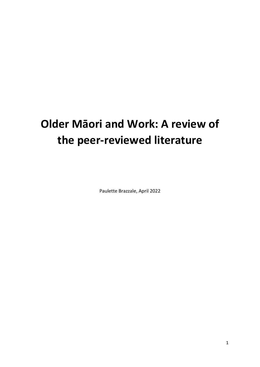# **Older Māori and Work: A review of the peer-reviewed literature**

Paulette Brazzale, April 2022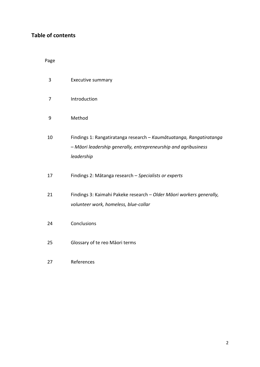# **Table of contents**

Page

| 3  | <b>Executive summary</b>                                                                                                                             |
|----|------------------------------------------------------------------------------------------------------------------------------------------------------|
| 7  | Introduction                                                                                                                                         |
| 9  | Method                                                                                                                                               |
| 10 | Findings 1: Rangatiratanga research - Kaumātuatanga, Rangatiratanga<br>- Māori leadership generally, entrepreneurship and agribusiness<br>leadership |
| 17 | Findings 2: Mātanga research - Specialists or experts                                                                                                |
| 21 | Findings 3: Kaimahi Pakeke research - Older Māori workers generally,<br>volunteer work, homeless, blue-collar                                        |
| 24 | Conclusions                                                                                                                                          |
| 25 | Glossary of te reo Māori terms                                                                                                                       |
| 27 | References                                                                                                                                           |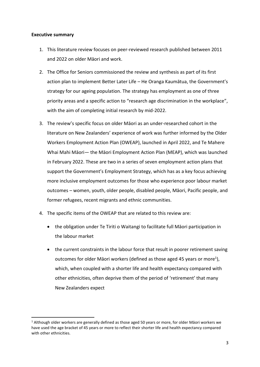#### **Executive summary**

- 1. This literature review focuses on peer-reviewed research published between 2011 and 2022 on older Māori and work.
- 2. The Office for Seniors commissioned the review and synthesis as part of its first action plan to implement Better Later Life – He Oranga Kaumātua, the Government's strategy for our ageing population. The strategy has employment as one of three priority areas and a specific action to "research age discrimination in the workplace", with the aim of completing initial research by mid-2022.
- 3. The review's specific focus on older Māori as an under-researched cohort in the literature on New Zealanders' experience of work was further informed by the Older Workers Employment Action Plan (OWEAP), launched in April 2022, and Te Mahere Whai Mahi Māori— the Māori Employment Action Plan (MEAP), which was launched in February 2022. These are two in a series of seven employment action plans that support the Government's Employment Strategy, which has as a key focus achieving more inclusive employment outcomes for those who experience poor labour market outcomes – women, youth, older people, disabled people, Māori, Pacific people, and former refugees, recent migrants and ethnic communities.
- 4. The specific items of the OWEAP that are related to this review are:
	- the obligation under Te Tiriti o Waitangi to facilitate full Māori participation in the labour market
	- the current constraints in the labour force that result in poorer retirement saving outcomes for older Māori workers (defined as those aged 45 years or more<sup>1</sup>), which, when coupled with a shorter life and health expectancy compared with other ethnicities, often deprive them of the period of 'retirement' that many New Zealanders expect

 $1$  Although older workers are generally defined as those aged 50 years or more, for older Māori workers we have used the age bracket of 45 years or more to reflect their shorter life and health expectancy compared with other ethnicities.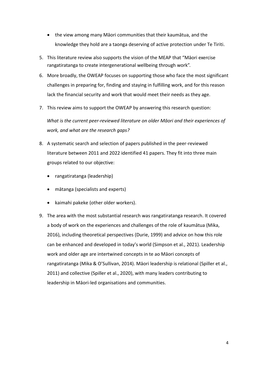- the view among many Māori communities that their kaumātua, and the knowledge they hold are a taonga deserving of active protection under Te Tiriti.
- 5. This literature review also supports the vision of the MEAP that "Māori exercise rangatiratanga to create intergenerational wellbeing through work".
- 6. More broadly, the OWEAP focuses on supporting those who face the most significant challenges in preparing for, finding and staying in fulfilling work, and for this reason lack the financial security and work that would meet their needs as they age.
- 7. This review aims to support the OWEAP by answering this research question:

*What is the current peer-reviewed literature on older Māori and their experiences of work, and what are the research gaps?* 

- 8. A systematic search and selection of papers published in the peer-reviewed literature between 2011 and 2022 identified 41 papers. They fit into three main groups related to our objective:
	- rangatiratanga (leadership)
	- mātanga (specialists and experts)
	- kaimahi pakeke (other older workers).
- 9. The area with the most substantial research was rangatiratanga research. It covered a body of work on the experiences and challenges of the role of kaumātua (Mika, 2016), including theoretical perspectives (Durie, 1999) and advice on how this role can be enhanced and developed in today's world (Simpson et al., 2021). Leadership work and older age are intertwined concepts in te ao Māori concepts of rangatiratanga (Mika & O'Sullivan, 2014). Māori leadership is relational (Spiller et al., 2011) and collective (Spiller et al., 2020), with many leaders contributing to leadership in Māori-led organisations and communities.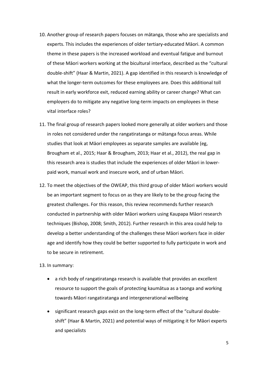- 10. Another group of research papers focuses on mātanga, those who are specialists and experts. This includes the experiences of older tertiary-educated Māori. A common theme in these papers is the increased workload and eventual fatigue and burnout of these Māori workers working at the bicultural interface, described as the "cultural double-shift" (Haar & Martin, 2021). A gap identified in this research is knowledge of what the longer-term outcomes for these employees are. Does this additional toll result in early workforce exit, reduced earning ability or career change? What can employers do to mitigate any negative long-term impacts on employees in these vital interface roles?
- 11. The final group of research papers looked more generally at older workers and those in roles not considered under the rangatiratanga or mātanga focus areas. While studies that look at Māori employees as separate samples are available (eg, Brougham et al., 2015; Haar & Brougham, 2013; Haar et al., 2012), the real gap in this research area is studies that include the experiences of older Māori in lowerpaid work, manual work and insecure work, and of urban Māori.
- 12. To meet the objectives of the OWEAP, this third group of older Māori workers would be an important segment to focus on as they are likely to be the group facing the greatest challenges. For this reason, this review recommends further research conducted in partnership with older Māori workers using Kaupapa Māori research techniques (Bishop, 2008; Smith, 2012). Further research in this area could help to develop a better understanding of the challenges these Māori workers face in older age and identify how they could be better supported to fully participate in work and to be secure in retirement.

#### 13. In summary:

- a rich body of rangatiratanga research is available that provides an excellent resource to support the goals of protecting kaumātua as a taonga and working towards Māori rangatiratanga and intergenerational wellbeing
- significant research gaps exist on the long-term effect of the "cultural doubleshift" (Haar & Martin, 2021) and potential ways of mitigating it for Māori experts and specialists

5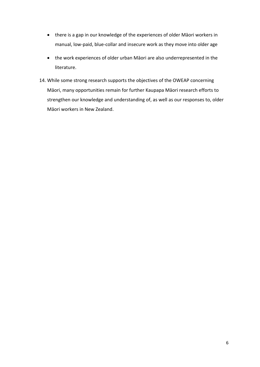- there is a gap in our knowledge of the experiences of older Māori workers in manual, low-paid, blue-collar and insecure work as they move into older age
- the work experiences of older urban Māori are also underrepresented in the literature.
- 14. While some strong research supports the objectives of the OWEAP concerning Māori, many opportunities remain for further Kaupapa Māori research efforts to strengthen our knowledge and understanding of, as well as our responses to, older Māori workers in New Zealand.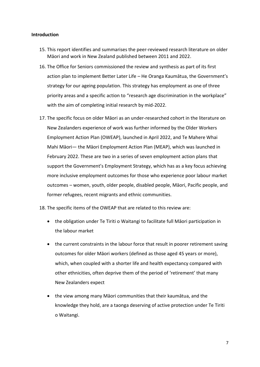### **Introduction**

- 15. This report identifies and summarises the peer-reviewed research literature on older Māori and work in New Zealand published between 2011 and 2022.
- 16. The Office for Seniors commissioned the review and synthesis as part of its first action plan to implement Better Later Life – He Oranga Kaumātua, the Government's strategy for our ageing population. This strategy has employment as one of three priority areas and a specific action to "research age discrimination in the workplace" with the aim of completing initial research by mid-2022.
- 17. The specific focus on older Māori as an under-researched cohort in the literature on New Zealanders experience of work was further informed by the Older Workers Employment Action Plan (OWEAP), launched in April 2022, and Te Mahere Whai Mahi Māori— the Māori Employment Action Plan (MEAP), which was launched in February 2022. These are two in a series of seven employment action plans that support the Government's Employment Strategy, which has as a key focus achieving more inclusive employment outcomes for those who experience poor labour market outcomes – women, youth, older people, disabled people, Māori, Pacific people, and former refugees, recent migrants and ethnic communities.
- 18. The specific items of the OWEAP that are related to this review are:
	- the obligation under Te Tiriti o Waitangi to facilitate full Māori participation in the labour market
	- the current constraints in the labour force that result in poorer retirement saving outcomes for older Māori workers (defined as those aged 45 years or more), which, when coupled with a shorter life and health expectancy compared with other ethnicities, often deprive them of the period of 'retirement' that many New Zealanders expect
	- the view among many Māori communities that their kaumātua, and the knowledge they hold, are a taonga deserving of active protection under Te Tiriti o Waitangi.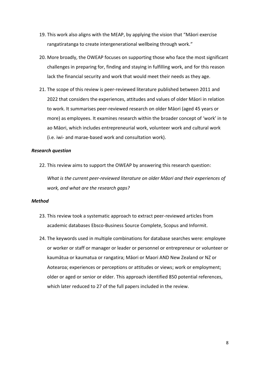- 19. This work also aligns with the MEAP, by applying the vision that "Māori exercise rangatiratanga to create intergenerational wellbeing through work."
- 20. More broadly, the OWEAP focuses on supporting those who face the most significant challenges in preparing for, finding and staying in fulfilling work, and for this reason lack the financial security and work that would meet their needs as they age.
- 21. The scope of this review is peer-reviewed literature published between 2011 and 2022 that considers the experiences, attitudes and values of older Māori in relation to work. It summarises peer-reviewed research on older Māori (aged 45 years or more) as employees. It examines research within the broader concept of 'work' in te ao Māori, which includes entrepreneurial work, volunteer work and cultural work (i.e. iwi- and marae-based work and consultation work).

#### *Research question*

22. This review aims to support the OWEAP by answering this research question:

*What is the current peer-reviewed literature on older Māori and their experiences of work, and what are the research gaps?* 

#### *Method*

- 23. This review took a systematic approach to extract peer-reviewed articles from academic databases Ebsco-Business Source Complete, Scopus and Informit.
- 24. The keywords used in multiple combinations for database searches were: employee or worker or staff or manager or leader or personnel or entrepreneur or volunteer or kaumātua or kaumatua or rangatira; Māori or Maori AND New Zealand or NZ or Aotearoa; experiences or perceptions or attitudes or views; work or employment; older or aged or senior or elder. This approach identified 850 potential references, which later reduced to 27 of the full papers included in the review.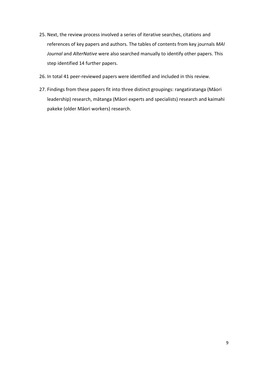- 25. Next, the review process involved a series of iterative searches, citations and references of key papers and authors. The tables of contents from key journals *MAI Journal* and *AlterNative* were also searched manually to identify other papers. This step identified 14 further papers.
- 26. In total 41 peer-reviewed papers were identified and included in this review.
- 27. Findings from these papers fit into three distinct groupings: rangatiratanga (Māori leadership) research, mātanga (Māori experts and specialists) research and kaimahi pakeke (older Māori workers) research.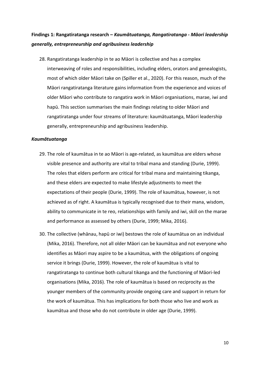# **Findings 1: Rangatiratanga research –** *Kaumātuatanga, Rangatiratanga - Māori leadership generally, entrepreneurship and agribusiness leadership*

28. Rangatiratanga leadership in te ao Māori is collective and has a complex interweaving of roles and responsibilities, including elders, orators and genealogists, most of which older Māori take on (Spiller et al., 2020). For this reason, much of the Māori rangatiratanga literature gains information from the experience and voices of older Māori who contribute to rangatira work in Māori organisations, marae, iwi and hapū. This section summarises the main findings relating to older Māori and rangatiratanga under four streams of literature: kaumātuatanga, Māori leadership generally, entrepreneurship and agribusiness leadership.

#### *Kaumātuatanga*

- 29. The role of kaumātua in te ao Māori is age-related, as kaumātua are elders whose visible presence and authority are vital to tribal mana and standing (Durie, 1999). The roles that elders perform are critical for tribal mana and maintaining tikanga, and these elders are expected to make lifestyle adjustments to meet the expectations of their people (Durie, 1999). The role of kaumātua, however, is not achieved as of right. A kaumātua is typically recognised due to their mana, wisdom, ability to communicate in te reo, relationships with family and iwi, skill on the marae and performance as assessed by others (Durie, 1999; Mika, 2016).
- 30. The collective (whānau, hapū or iwi) bestows the role of kaumātua on an individual (Mika, 2016). Therefore, not all older Māori can be kaumātua and not everyone who identifies as Māori may aspire to be a kaumātua, with the obligations of ongoing service it brings (Durie, 1999). However, the role of kaumātua is vital to rangatiratanga to continue both cultural tikanga and the functioning of Māori-led organisations (Mika, 2016). The role of kaumātua is based on reciprocity as the younger members of the community provide ongoing care and support in return for the work of kaumātua. This has implications for both those who live and work as kaumātua and those who do not contribute in older age (Durie, 1999).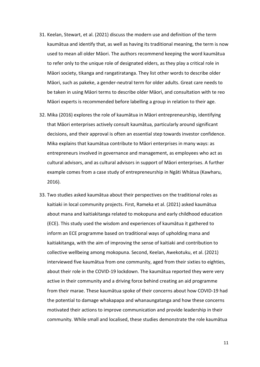- 31. Keelan, Stewart, et al. (2021) discuss the modern use and definition of the term kaumātua and identify that, as well as having its traditional meaning, the term is now used to mean all older Māori. The authors recommend keeping the word kaumātua to refer only to the unique role of designated elders, as they play a critical role in Māori society, tikanga and rangatiratanga. They list other words to describe older Māori, such as pakeke, a gender-neutral term for older adults. Great care needs to be taken in using Māori terms to describe older Māori, and consultation with te reo Māori experts is recommended before labelling a group in relation to their age.
- 32. Mika (2016) explores the role of kaumātua in Māori entrepreneurship, identifying that Māori enterprises actively consult kaumātua, particularly around significant decisions, and their approval is often an essential step towards investor confidence. Mika explains that kaumātua contribute to Māori enterprises in many ways: as entrepreneurs involved in governance and management, as employees who act as cultural advisors, and as cultural advisors in support of Māori enterprises. A further example comes from a case study of entrepreneurship in Ngāti Whātua (Kawharu, 2016).
- 33. Two studies asked kaumātua about their perspectives on the traditional roles as kaitiaki in local community projects. First, Rameka et al. (2021) asked kaumātua about mana and kaitiakitanga related to mokopuna and early childhood education (ECE). This study used the wisdom and experiences of kaumātua it gathered to inform an ECE programme based on traditional ways of upholding mana and kaitiakitanga, with the aim of improving the sense of kaitiaki and contribution to collective wellbeing among mokopuna. Second, Keelan, Awekotuku, et al. (2021) interviewed five kaumātua from one community, aged from their sixties to eighties, about their role in the COVID-19 lockdown. The kaumātua reported they were very active in their community and a driving force behind creating an aid programme from their marae. These kaumātua spoke of their concerns about how COVID-19 had the potential to damage whakapapa and whanaungatanga and how these concerns motivated their actions to improve communication and provide leadership in their community. While small and localised, these studies demonstrate the role kaumātua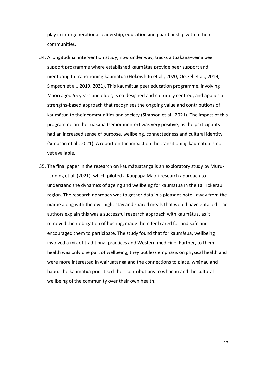play in intergenerational leadership, education and guardianship within their communities.

- 34. A longitudinal intervention study, now under way, tracks a tuakana–teina peer support programme where established kaumātua provide peer support and mentoring to transitioning kaumātua (Hokowhitu et al., 2020; Oetzel et al., 2019; Simpson et al., 2019, 2021). This kaumātua peer education programme, involving Māori aged 55 years and older, is co-designed and culturally centred, and applies a strengths-based approach that recognises the ongoing value and contributions of kaumātua to their communities and society (Simpson et al., 2021). The impact of this programme on the tuakana (senior mentor) was very positive, as the participants had an increased sense of purpose, wellbeing, connectedness and cultural identity (Simpson et al., 2021). A report on the impact on the transitioning kaumātua is not yet available.
- 35. The final paper in the research on kaumātuatanga is an exploratory study by Muru-Lanning et al. (2021), which piloted a Kaupapa Māori research approach to understand the dynamics of ageing and wellbeing for kaumātua in the Tai Tokerau region. The research approach was to gather data in a pleasant hotel, away from the marae along with the overnight stay and shared meals that would have entailed. The authors explain this was a successful research approach with kaumātua, as it removed their obligation of hosting, made them feel cared for and safe and encouraged them to participate. The study found that for kaumātua, wellbeing involved a mix of traditional practices and Western medicine. Further, to them health was only one part of wellbeing; they put less emphasis on physical health and were more interested in wairuatanga and the connections to place, whānau and hapū. The kaumātua prioritised their contributions to whānau and the cultural wellbeing of the community over their own health.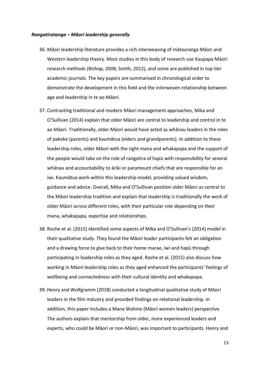#### *Rangatiratanga – Māori leadership generally*

- 36. Māori leadership literature provides a rich interweaving of mātauranga Māori and Western leadership theory. Most studies in this body of research use Kaupapa Māori research methods (Bishop, 2008; Smith, 2012), and some are published in top-tier academic journals. The key papers are summarised in chronological order to demonstrate the development in this field and the interwoven relationship between age and leadership in te ao Māori.
- 37. Contrasting traditional and modern Māori management approaches, Mika and O'Sullivan (2014) explain that older Māori are central to leadership and control in te ao Māori. Traditionally, older Māori would have acted as whānau leaders in the roles of pakeke (parents) and kaumātua (elders and grandparents). In addition to these leadership roles, older Māori with the right mana and whakapapa and the support of the people would take on the role of rangatira of hapū with responsibility for several whānau and accountability to āriki or paramount chiefs that are responsible for an iwi. Kaumātua work within this leadership model, providing valued wisdom, guidance and advice. Overall, Mika and O'Sullivan position older Māori as central to the Māori leadership tradition and explain that leadership is traditionally the work of older Māori across different roles, with their particular role depending on their mana, whakapapa, expertise and relationships.
- 38. Roche et al. (2015) identified some aspects of Mika and O'Sullivan's (2014) model in their qualitative study. They found the Māori leader participants felt an obligation and a drawing force to give back to their home marae, iwi and hapū through participating in leadership roles as they aged. Roche et al. (2015) also discuss how working in Māori leadership roles as they aged enhanced the participants' feelings of wellbeing and connectedness with their cultural identity and whakapapa.
- 39. Henry and Wolfgramm (2018) conducted a longitudinal qualitative study of Māori leaders in the film industry and provided findings on relational leadership. In addition, this paper includes a Mana Wahine (Māori women leaders) perspective. The authors explain that mentorship from older, more experienced leaders and experts, who could be Māori or non-Māori, was important to participants. Henry and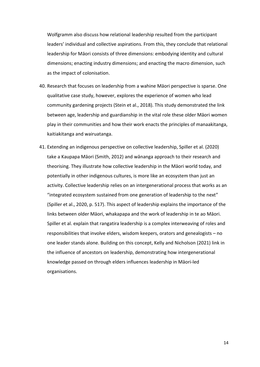Wolfgramm also discuss how relational leadership resulted from the participant leaders' individual and collective aspirations. From this, they conclude that relational leadership for Māori consists of three dimensions: embodying identity and cultural dimensions; enacting industry dimensions; and enacting the macro dimension, such as the impact of colonisation.

- 40. Research that focuses on leadership from a wahine Māori perspective is sparse. One qualitative case study, however, explores the experience of women who lead community gardening projects (Stein et al., 2018). This study demonstrated the link between age, leadership and guardianship in the vital role these older Māori women play in their communities and how their work enacts the principles of manaakitanga, kaitiakitanga and wairuatanga.
- 41. Extending an indigenous perspective on collective leadership, Spiller et al. (2020) take a Kaupapa Māori (Smith, 2012) and wānanga approach to their research and theorising. They illustrate how collective leadership in the Māori world today, and potentially in other indigenous cultures, is more like an ecosystem than just an activity. Collective leadership relies on an intergenerational process that works as an "integrated ecosystem sustained from one generation of leadership to the next" (Spiller et al., 2020, p. 517). This aspect of leadership explains the importance of the links between older Māori, whakapapa and the work of leadership in te ao Māori. Spiller et al. explain that rangatira leadership is a complex interweaving of roles and responsibilities that involve elders, wisdom keepers, orators and genealogists – no one leader stands alone. Building on this concept, Kelly and Nicholson (2021) link in the influence of ancestors on leadership, demonstrating how intergenerational knowledge passed on through elders influences leadership in Māori-led organisations.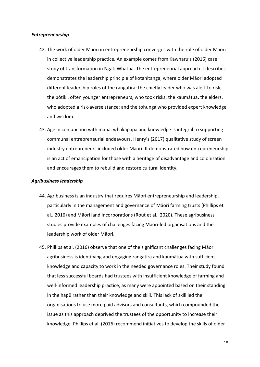#### *Entrepreneurship*

- 42. The work of older Māori in entrepreneurship converges with the role of older Māori in collective leadership practice. An example comes from Kawharu's (2016) case study of transformation in Ngāti Whātua. The entrepreneurial approach it describes demonstrates the leadership principle of kotahitanga, where older Māori adopted different leadership roles of the rangatira: the chiefly leader who was alert to risk; the pōtiki, often younger entrepreneurs, who took risks; the kaumātua, the elders, who adopted a risk-averse stance; and the tohunga who provided expert knowledge and wisdom.
- 43. Age in conjunction with mana, whakapapa and knowledge is integral to supporting communal entrepreneurial endeavours. Henry's (2017) qualitative study of screen industry entrepreneurs included older Māori. It demonstrated how entrepreneurship is an act of emancipation for those with a heritage of disadvantage and colonisation and encourages them to rebuild and restore cultural identity.

## *Agribusiness leadership*

- 44. Agribusiness is an industry that requires Māori entrepreneurship and leadership, particularly in the management and governance of Māori farming trusts (Phillips et al., 2016) and Māori land incorporations (Rout et al., 2020). These agribusiness studies provide examples of challenges facing Māori-led organisations and the leadership work of older Māori.
- 45. Phillips et al. (2016) observe that one of the significant challenges facing Māori agribusiness is identifying and engaging rangatira and kaumātua with sufficient knowledge and capacity to work in the needed governance roles. Their study found that less successful boards had trustees with insufficient knowledge of farming and well-informed leadership practice, as many were appointed based on their standing in the hapū rather than their knowledge and skill. This lack of skill led the organisations to use more paid advisors and consultants, which compounded the issue as this approach deprived the trustees of the opportunity to increase their knowledge. Phillips et al. (2016) recommend initiatives to develop the skills of older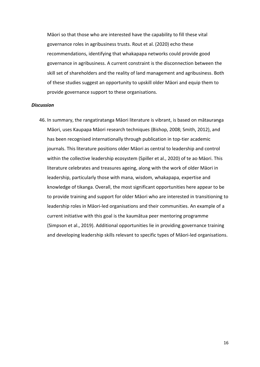Māori so that those who are interested have the capability to fill these vital governance roles in agribusiness trusts. Rout et al. (2020) echo these recommendations, identifying that whakapapa networks could provide good governance in agribusiness. A current constraint is the disconnection between the skill set of shareholders and the reality of land management and agribusiness. Both of these studies suggest an opportunity to upskill older Māori and equip them to provide governance support to these organisations.

#### *Discussion*

46. In summary, the rangatiratanga Māori literature is vibrant, is based on mātauranga Māori, uses Kaupapa Māori research techniques (Bishop, 2008; Smith, 2012), and has been recognised internationally through publication in top-tier academic journals. This literature positions older Māori as central to leadership and control within the collective leadership ecosystem (Spiller et al., 2020) of te ao Māori. This literature celebrates and treasures ageing, along with the work of older Māori in leadership, particularly those with mana, wisdom, whakapapa, expertise and knowledge of tikanga. Overall, the most significant opportunities here appear to be to provide training and support for older Māori who are interested in transitioning to leadership roles in Māori-led organisations and their communities. An example of a current initiative with this goal is the kaumātua peer mentoring programme (Simpson et al., 2019). Additional opportunities lie in providing governance training and developing leadership skills relevant to specific types of Māori-led organisations.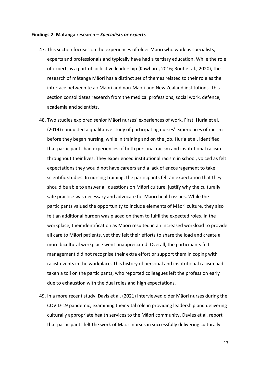#### **Findings 2: Mātanga research –** *Specialists or experts*

- 47. This section focuses on the experiences of older Māori who work as specialists, experts and professionals and typically have had a tertiary education. While the role of experts is a part of collective leadership (Kawharu, 2016; Rout et al., 2020), the research of mātanga Māori has a distinct set of themes related to their role as the interface between te ao Māori and non-Māori and New Zealand institutions. This section consolidates research from the medical professions, social work, defence, academia and scientists.
- 48. Two studies explored senior Māori nurses' experiences of work. First, Huria et al. (2014) conducted a qualitative study of participating nurses' experiences of racism before they began nursing, while in training and on the job. Huria et al. identified that participants had experiences of both personal racism and institutional racism throughout their lives. They experienced institutional racism in school, voiced as felt expectations they would not have careers and a lack of encouragement to take scientific studies. In nursing training, the participants felt an expectation that they should be able to answer all questions on Māori culture, justify why the culturally safe practice was necessary and advocate for Māori health issues. While the participants valued the opportunity to include elements of Māori culture, they also felt an additional burden was placed on them to fulfil the expected roles. In the workplace, their identification as Māori resulted in an increased workload to provide all care to Māori patients, yet they felt their efforts to share the load and create a more bicultural workplace went unappreciated. Overall, the participants felt management did not recognise their extra effort or support them in coping with racist events in the workplace. This history of personal and institutional racism had taken a toll on the participants, who reported colleagues left the profession early due to exhaustion with the dual roles and high expectations.
- 49. In a more recent study, Davis et al. (2021) interviewed older Māori nurses during the COVID-19 pandemic, examining their vital role in providing leadership and delivering culturally appropriate health services to the Māori community. Davies et al. report that participants felt the work of Māori nurses in successfully delivering culturally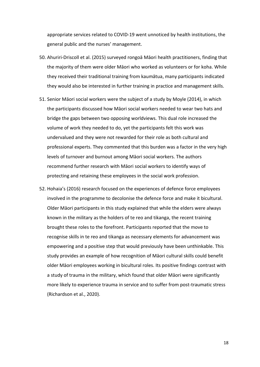appropriate services related to COVID-19 went unnoticed by health institutions, the general public and the nurses' management.

- 50. Ahuriri-Driscoll et al. (2015) surveyed rongoā Māori health practitioners, finding that the majority of them were older Māori who worked as volunteers or for koha. While they received their traditional training from kaumātua, many participants indicated they would also be interested in further training in practice and management skills.
- 51. Senior Māori social workers were the subject of a study by Moyle (2014), in which the participants discussed how Māori social workers needed to wear two hats and bridge the gaps between two opposing worldviews. This dual role increased the volume of work they needed to do, yet the participants felt this work was undervalued and they were not rewarded for their role as both cultural and professional experts. They commented that this burden was a factor in the very high levels of turnover and burnout among Māori social workers. The authors recommend further research with Māori social workers to identify ways of protecting and retaining these employees in the social work profession.
- 52. Hohaia's (2016) research focused on the experiences of defence force employees involved in the programme to decolonise the defence force and make it bicultural. Older Māori participants in this study explained that while the elders were always known in the military as the holders of te reo and tikanga, the recent training brought these roles to the forefront. Participants reported that the move to recognise skills in te reo and tikanga as necessary elements for advancement was empowering and a positive step that would previously have been unthinkable. This study provides an example of how recognition of Māori cultural skills could benefit older Māori employees working in bicultural roles. Its positive findings contrast with a study of trauma in the military, which found that older Māori were significantly more likely to experience trauma in service and to suffer from post-traumatic stress (Richardson et al., 2020).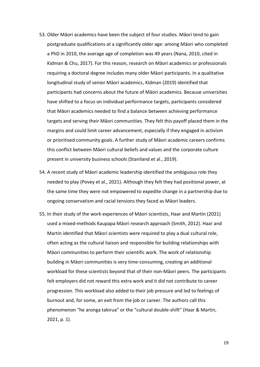- 53. Older Māori academics have been the subject of four studies. Māori tend to gain postgraduate qualifications at a significantly older age: among Māori who completed a PhD in 2010, the average age of completion was 49 years (Nana, 2010, cited in Kidman & Chu, 2017). For this reason, research on Māori academics or professionals requiring a doctoral degree includes many older Māori participants. In a qualitative longitudinal study of senior Māori academics, Kidman (2019) identified that participants had concerns about the future of Māori academics. Because universities have shifted to a focus on individual performance targets, participants considered that Māori academics needed to find a balance between achieving performance targets and serving their Māori communities. They felt this payoff placed them in the margins and could limit career advancement, especially if they engaged in activism or prioritised community goals. A further study of Māori academic careers confirms this conflict between Māori cultural beliefs and values and the corporate culture present in university business schools (Staniland et al., 2019).
- 54. A recent study of Māori academic leadership identified the ambiguous role they needed to play (Povey et al., 2021). Although they felt they had positional power, at the same time they were not empowered to expedite change in a partnership due to ongoing conservatism and racial tensions they faced as Māori leaders.
- 55. In their study of the work experiences of Māori scientists, Haar and Martin (2021) used a mixed-methods Kaupapa Māori research approach (Smith, 2012). Haar and Martin identified that Māori scientists were required to play a dual cultural role, often acting as the cultural liaison and responsible for building relationships with Māori communities to perform their scientific work. The work of relationship building in Māori communities is very time-consuming, creating an additional workload for these scientists beyond that of their non-Māori peers. The participants felt employers did not reward this extra work and it did not contribute to career progression. This workload also added to their job pressure and led to feelings of burnout and, for some, an exit from the job or career. The authors call this phenomenon "he aronga takirua" or the "cultural double-shift" (Haar & Martin, 2021, p. 1).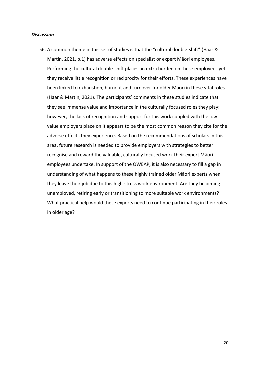#### *Discussion*

56. A common theme in this set of studies is that the "cultural double-shift" (Haar & Martin, 2021, p.1) has adverse effects on specialist or expert Māori employees. Performing the cultural double-shift places an extra burden on these employees yet they receive little recognition or reciprocity for their efforts. These experiences have been linked to exhaustion, burnout and turnover for older Māori in these vital roles (Haar & Martin, 2021). The participants' comments in these studies indicate that they see immense value and importance in the culturally focused roles they play; however, the lack of recognition and support for this work coupled with the low value employers place on it appears to be the most common reason they cite for the adverse effects they experience. Based on the recommendations of scholars in this area, future research is needed to provide employers with strategies to better recognise and reward the valuable, culturally focused work their expert Māori employees undertake. In support of the OWEAP, it is also necessary to fill a gap in understanding of what happens to these highly trained older Māori experts when they leave their job due to this high-stress work environment. Are they becoming unemployed, retiring early or transitioning to more suitable work environments? What practical help would these experts need to continue participating in their roles in older age?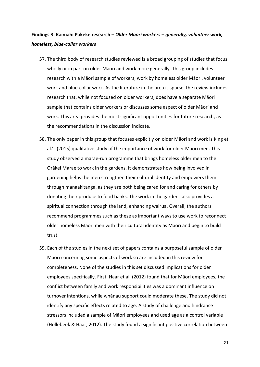# **Findings 3: Kaimahi Pakeke research –** *Older Māori workers – generally, volunteer work, homeless, blue-collar workers*

- 57. The third body of research studies reviewed is a broad grouping of studies that focus wholly or in part on older Māori and work more generally. This group includes research with a Māori sample of workers, work by homeless older Māori, volunteer work and blue-collar work. As the literature in the area is sparse, the review includes research that, while not focused on older workers, does have a separate Māori sample that contains older workers or discusses some aspect of older Māori and work. This area provides the most significant opportunities for future research, as the recommendations in the discussion indicate.
- 58. The only paper in this group that focuses explicitly on older Māori and work is King et al.'s (2015) qualitative study of the importance of work for older Māori men. This study observed a marae-run programme that brings homeless older men to the Orākei Marae to work in the gardens. It demonstrates how being involved in gardening helps the men strengthen their cultural identity and empowers them through manaakitanga, as they are both being cared for and caring for others by donating their produce to food banks. The work in the gardens also provides a spiritual connection through the land, enhancing wairua. Overall, the authors recommend programmes such as these as important ways to use work to reconnect older homeless Māori men with their cultural identity as Māori and begin to build trust.
- 59. Each of the studies in the next set of papers contains a purposeful sample of older Māori concerning some aspects of work so are included in this review for completeness. None of the studies in this set discussed implications for older employees specifically. First, Haar et al. (2012) found that for Māori employees, the conflict between family and work responsibilities was a dominant influence on turnover intentions, while whānau support could moderate these. The study did not identify any specific effects related to age. A study of challenge and hindrance stressors included a sample of Māori employees and used age as a control variable (Hollebeek & Haar, 2012). The study found a significant positive correlation between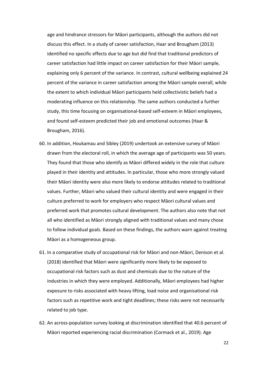age and hindrance stressors for Māori participants, although the authors did not discuss this effect. In a study of career satisfaction, Haar and Brougham (2013) identified no specific effects due to age but did find that traditional predictors of career satisfaction had little impact on career satisfaction for their Māori sample, explaining only 6 percent of the variance. In contrast, cultural wellbeing explained 24 percent of the variance in career satisfaction among the Māori sample overall, while the extent to which individual Māori participants held collectivistic beliefs had a moderating influence on this relationship. The same authors conducted a further study, this time focusing on organisational-based self-esteem in Māori employees, and found self-esteem predicted their job and emotional outcomes (Haar & Brougham, 2016).

- 60. In addition, Houkamau and Sibley (2019) undertook an extensive survey of Māori drawn from the electoral roll, in which the average age of participants was 50 years. They found that those who identify as Māori differed widely in the role that culture played in their identity and attitudes. In particular, those who more strongly valued their Māori identity were also more likely to endorse attitudes related to traditional values. Further, Māori who valued their cultural identity and were engaged in their culture preferred to work for employers who respect Māori cultural values and preferred work that promotes cultural development. The authors also note that not all who identified as Māori strongly aligned with traditional values and many chose to follow individual goals. Based on these findings, the authors warn against treating Māori as a homogeneous group.
- 61. In a comparative study of occupational risk for Māori and non-Māori, Denison et al. (2018) identified that Māori were significantly more likely to be exposed to occupational risk factors such as dust and chemicals due to the nature of the industries in which they were employed. Additionally, Māori employees had higher exposure to risks associated with heavy lifting, load noise and organisational risk factors such as repetitive work and tight deadlines; these risks were not necessarily related to job type.
- 62. An across-population survey looking at discrimination identified that 40.6 percent of Māori reported experiencing racial discrimination (Cormack et al., 2019). Age

22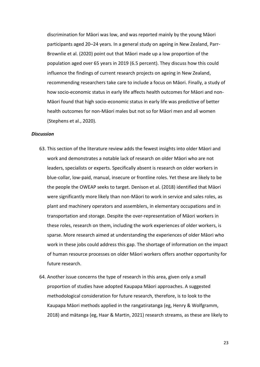discrimination for Māori was low, and was reported mainly by the young Māori participants aged 20–24 years. In a general study on ageing in New Zealand, Parr-Brownlie et al. (2020) point out that Māori made up a low proportion of the population aged over 65 years in 2019 (6.5 percent). They discuss how this could influence the findings of current research projects on ageing in New Zealand, recommending researchers take care to include a focus on Māori. Finally, a study of how socio-economic status in early life affects health outcomes for Māori and non-Māori found that high socio-economic status in early life was predictive of better health outcomes for non-Māori males but not so for Māori men and all women (Stephens et al., 2020).

#### *Discussion*

- 63. This section of the literature review adds the fewest insights into older Māori and work and demonstrates a notable lack of research on older Māori who are not leaders, specialists or experts. Specifically absent is research on older workers in blue-collar, low-paid, manual, insecure or frontline roles. Yet these are likely to be the people the OWEAP seeks to target. Denison et al. (2018) identified that Māori were significantly more likely than non-Māori to work in service and sales roles, as plant and machinery operators and assemblers, in elementary occupations and in transportation and storage. Despite the over-representation of Māori workers in these roles, research on them, including the work experiences of older workers, is sparse. More research aimed at understanding the experiences of older Māori who work in these jobs could address this gap. The shortage of information on the impact of human resource processes on older Māori workers offers another opportunity for future research.
- 64. Another issue concerns the type of research in this area, given only a small proportion of studies have adopted Kaupapa Māori approaches. A suggested methodological consideration for future research, therefore, is to look to the Kaupapa Māori methods applied in the rangatiratanga (eg, Henry & Wolfgramm, 2018) and mātanga (eg, Haar & Martin, 2021) research streams, as these are likely to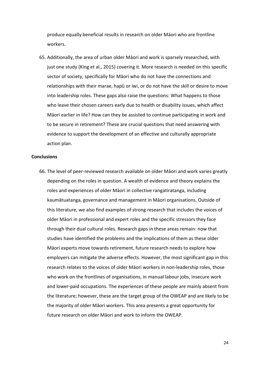produce equally beneficial results in research on older Māori who are frontline workers.

65. Additionally, the area of urban older Māori and work is sparsely researched, with just one study (King et al., 2015) covering it. More research is needed on this specific sector of society, specifically for Māori who do not have the connections and relationships with their marae, hapū or iwi, or do not have the skill or desire to move into leadership roles. These gaps also raise the questions: What happens to those who leave their chosen careers early due to health or disability issues, which affect Māori earlier in life? How can they be assisted to continue participating in work and to be secure in retirement? These are crucial questions that need answering with evidence to support the development of an effective and culturally appropriate action plan.

#### **Conclusions**

66. The level of peer-reviewed research available on older Māori and work varies greatly depending on the roles in question. A wealth of evidence and theory explains the roles and experiences of older Māori in collective rangatiratanga, including kaumātuatanga, governance and management in Māori organisations. Outside of this literature, we also find examples of strong research that includes the voices of older Māori in professional and expert roles and the specific stressors they face through their dual cultural roles. Research gaps in these areas remain: now that studies have identified the problems and the implications of them as these older Māori experts move towards retirement, future research needs to explore how employers can mitigate the adverse effects. However, the most significant gap in this research relates to the voices of older Māori workers in non-leadership roles, those who work on the frontlines of organisations, in manual labour jobs, insecure work and lower-paid occupations. The experiences of these people are mainly absent from the literature; however, these are the target group of the OWEAP and are likely to be the majority of older Māori workers. This area presents a great opportunity for future research on older Māori and work to inform the OWEAP.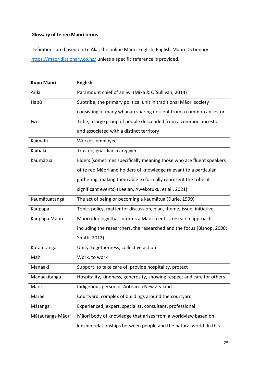## **Glossary of te reo Māori terms**

Definitions are based on Te Aka, the online Māori-English, English-Māori Dictionary <https://maoridictionary.co.nz/> unless a specific reference is provided.

| <b>Kupu Māori</b> | <b>English</b>                                                         |
|-------------------|------------------------------------------------------------------------|
| Āriki             | Paramount chief of an iwi (Mika & O'Sullivan, 2014)                    |
| Hapū              | Subtribe, the primary political unit in traditional Māori society      |
|                   | consisting of many whanau sharing descent from a common ancestor       |
| Iwi               | Tribe, a large group of people descended from a common ancestor        |
|                   | and associated with a distinct territory                               |
| Kaimahi           | Worker, employee                                                       |
| Kaitiaki          | Trustee, guardian, caregiver                                           |
| Kaumātua          | Elders (sometimes specifically meaning those who are fluent speakers   |
|                   | of te reo Māori and holders of knowledge relevant to a particular      |
|                   | gathering, making them able to formally represent the tribe at         |
|                   | significant events) (Keelan, Awekotuku, et al., 2021)                  |
| Kaumātuatanga     | The act of being or becoming a kaumātua (Durie, 1999)                  |
| Kaupapa           | Topic, policy, matter for discussion, plan, theme, issue, initiative   |
| Kaupapa Māori     | Māori ideology that informs a Māori-centric research approach,         |
|                   | including the researchers, the researched and the focus (Bishop, 2008; |
|                   | Smith, 2012)                                                           |
| Kotahitanga       | Unity, togetherness, collective action                                 |
| Mahi              | Work, to work                                                          |
| Manaaki           | Support, to take care of, provide hospitality, protect                 |
| Manaakitanga      | Hospitality, kindness, generosity, showing respect and care for others |
| Māori             | Indigenous person of Aotearoa New Zealand                              |
| Marae             | Courtyard, complex of buildings around the courtyard                   |
| Mātanga           | Experienced, expert, specialist, consultant, professional              |
| Mātauranga Māori  | Māori body of knowledge that arises from a worldview based on          |
|                   | kinship relationships between people and the natural world. In this    |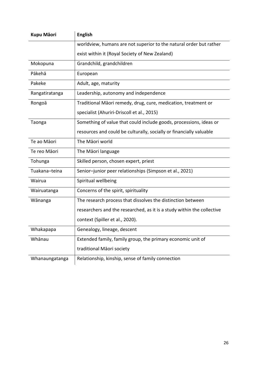| <b>Kupu Māori</b> | <b>English</b>                                                         |
|-------------------|------------------------------------------------------------------------|
|                   | worldview, humans are not superior to the natural order but rather     |
|                   | exist within it (Royal Society of New Zealand)                         |
| Mokopuna          | Grandchild, grandchildren                                              |
| Pākehā            | European                                                               |
| Pakeke            | Adult, age, maturity                                                   |
| Rangatiratanga    | Leadership, autonomy and independence                                  |
| Rongoā            | Traditional Māori remedy, drug, cure, medication, treatment or         |
|                   | specialist (Ahuriri-Driscoll et al., 2015)                             |
| Taonga            | Something of value that could include goods, processions, ideas or     |
|                   | resources and could be culturally, socially or financially valuable    |
| Te ao Māori       | The Māori world                                                        |
| Te reo Māori      | The Māori language                                                     |
| Tohunga           | Skilled person, chosen expert, priest                                  |
| Tuakana-teina     | Senior-junior peer relationships (Simpson et al., 2021)                |
| Wairua            | Spiritual wellbeing                                                    |
| Wairuatanga       | Concerns of the spirit, spirituality                                   |
| Wānanga           | The research process that dissolves the distinction between            |
|                   | researchers and the researched, as it is a study within the collective |
|                   | context (Spiller et al., 2020).                                        |
| Whakapapa         | Genealogy, lineage, descent                                            |
| Whānau            | Extended family, family group, the primary economic unit of            |
|                   | traditional Māori society                                              |
| Whanaungatanga    | Relationship, kinship, sense of family connection                      |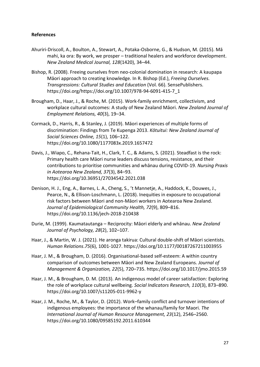## **References**

- Ahuriri-Driscoll, A., Boulton, A., Stewart, A., Potaka-Osborne, G., & Hudson, M. (2015). Mā mahi, ka ora: By work, we prosper – traditional healers and workforce development. *New Zealand Medical Journal, 128*(1420), 34–44.
- Bishop, R. (2008). Freeing ourselves from neo-colonial domination in research: A kaupapa Māori approach to creating knowledge. In R. Bishop (Ed.), *Freeing Ourselves. Transgressions: Cultural Studies and Education* (Vol. 66). SensePublishers. https://doi.org/https://doi.org/10.1007/978-94-6091-415-7\_1
- Brougham, D., Haar, J., & Roche, M. (2015). Work-family enrichment, collectivism, and workplace cultural outcomes: A study of New Zealand Māori. *New Zealand Journal of Employment Relations, 40*(3), 19–34.
- Cormack, D., Harris, R., & Stanley, J. (2019). Māori experiences of multiple forms of discrimination: Findings from Te Kupenga 2013. *Kōtuitui: New Zealand Journal of Social Sciences Online, 15*(1), 106–122. https://doi.org/10.1080/1177083x.2019.1657472
- Davis, J., Wiapo, C., Rehana-Tait, H., Clark, T. C., & Adams, S. (2021). Steadfast is the rock: Primary health care Māori nurse leaders discuss tensions, resistance, and their contributions to prioritise communities and whānau during COVID-19. *Nursing Praxis in Aotearoa New Zealand, 37*(3), 84–93. https://doi.org/10.36951/27034542.2021.038
- Denison, H. J., Eng, A., Barnes, L. A., Cheng, S., 't Mannetje, A., Haddock, K., Douwes, J., Pearce, N., & Ellison-Loschmann, L. (2018). Inequities in exposure to occupational risk factors between Māori and non-Māori workers in Aotearoa New Zealand. *Journal of Epidemiological Community Health, 72*(9), 809–816. https://doi.org/10.1136/jech-2018-210438
- Durie, M. (1999). Kaumatautanga Reciprocity: Māori elderly and whānau. *New Zealand Journal of Psychology, 28*(2), 102–107.
- Haar, J., & Martin, W. J. (2021). He aronga takirua: Cultural double-shift of Māori scientists. *Human Relations*.*75*(6), 1001-1027. https://doi.org/10.1177/00187267211003955
- Haar, J. M., & Brougham, D. (2016). Organisational-based self-esteem: A within country comparison of outcomes between Māori and New Zealand Europeans. *Journal of Management & Organization, 22*(5), 720–735. https://doi.org/10.1017/jmo.2015.59
- Haar, J. M., & Brougham, D. M. (2013). An indigenous model of career satisfaction: Exploring the role of workplace cultural wellbeing. *Social Indicators Research, 110*(3), 873–890. https://doi.org/10.1007/s11205-011-9962-y
- Haar, J. M., Roche, M., & Taylor, D. (2012). Work–family conflict and turnover intentions of indigenous employees: the importance of the whanau/family for Maori. *The International Journal of Human Resource Management, 23*(12), 2546–2560. https://doi.org/10.1080/09585192.2011.610344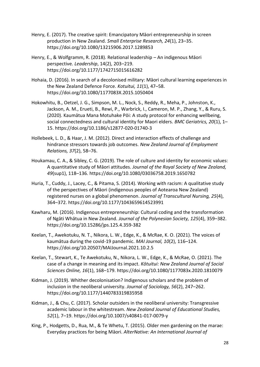- Henry, E. (2017). The creative spirit: Emancipatory Māori entrepreneurship in screen production in New Zealand. *Small Enterprise Research, 24*(1), 23–35. https://doi.org/10.1080/13215906.2017.1289853
- Henry, E., & Wolfgramm, R. (2018). Relational leadership An indigenous Māori perspective. *Leadership*, 14(2), 203–219. https://doi.org/10.1177/1742715015616282
- Hohaia, D. (2016). In search of a decolonised military: Māori cultural learning experiences in the New Zealand Defence Force. *Kotuitui, 11*(1), 47–58. https://doi.org/10.1080/1177083X.2015.1050404
- Hokowhitu, B., Oetzel, J. G., Simpson, M. L., Nock, S., Reddy, R., Meha, P., Johnston, K., Jackson, A. M., Erueti, B., Rewi, P., Warbrick, I., Cameron, M. P., Zhang, Y., & Ruru, S. (2020). Kaumātua Mana Motuhake Pōi: A study protocol for enhancing wellbeing, social connectedness and cultural identity for Maori elders. *BMC Geriatrics, 20*(1), 1– 15. https://doi.org/10.1186/s12877-020-01740-3
- Hollebeek, L. D., & Haar, J. M. (2012). Direct and interaction effects of challenge and hindrance stressors towards job outcomes. *New Zealand Journal of Employment Relations, 37*(2), 58–76.
- Houkamau, C. A., & Sibley, C. G. (2019). The role of culture and identity for economic values: A quantitative study of Māori attitudes. *Journal of the Royal Society of New Zealand, 49*(sup1), 118–136. https://doi.org/10.1080/03036758.2019.1650782
- Huria, T., Cuddy, J., Lacey, C., & Pitama, S. (2014). Working with racism: A qualitative study of the perspectives of Māori (indigenous peoples of Aotearoa New Zealand) registered nurses on a global phenomenon. *Journal of Transcultural Nursing, 25*(4), 364–372. https://doi.org/10.1177/1043659614523991
- Kawharu, M. (2016). Indigenous entrepreneurship: Cultural coding and the transformation of Ngāti Whātua in New Zealand. *Journal of the Polynesian Society, 125*(4), 359–382. https://doi.org/10.15286/jps.125.4.359-382
- Keelan, T., Awekotuku, N. T., Nikora, L. W., Edge, K., & McRae, K. O. (2021). The voices of kaumātua during the covid-19 pandemic. *MAI Journal, 10*(2), 116–124. https://doi.org/10.20507/MAIJournal.2021.10.2.5
- Keelan, T., Stewart, K., Te Awekotuku, N., Nikora, L. W., Edge, K., & McRae, O. (2021). The case of a change in meaning and its impact. *Kōtuitui: New Zealand Journal of Social Sciences Online, 16*(1), 168–179. https://doi.org/10.1080/1177083x.2020.1810079
- Kidman, J. (2019). Whither decolonisation? Indigenous scholars and the problem of inclusion in the neoliberal university. *Journal of Sociology, 56*(2), 247–262. https://doi.org/10.1177/1440783319835958
- Kidman, J., & Chu, C. (2017). Scholar outsiders in the neoliberal university: Transgressive academic labour in the whitestream. *New Zealand Journal of Educational Studies, 52*(1), 7–19. https://doi.org/10.1007/s40841-017-0079-y
- King, P., Hodgetts, D., Rua, M., & Te Whetu, T. (2015). Older men gardening on the marae: Everyday practices for being Māori. *AlterNative: An International Journal of*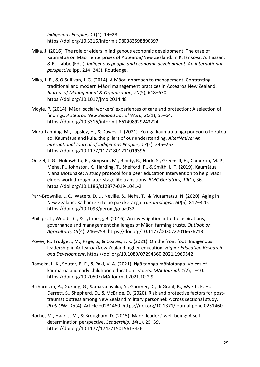*Indigenous Peoples, 11*(1), 14–28. https://doi.org/10.3316/informit.980383598890397

- Mika, J. (2016). The role of elders in indigenous economic development: The case of Kaumātua on Māori enterprises of Aotearoa/New Zealand. In K. Iankova, A. Hassan, & R. L'abbe (Eds.), *Indigenous people and economic development: An international perspective* (pp. 214–245). Routledge.
- Mika, J. P., & O'Sullivan, J. G. (2014). A Māori approach to management: Contrasting traditional and modern Māori management practices in Aotearoa New Zealand. *Journal of Management & Organization, 20*(5), 648–670. https://doi.org/10.1017/jmo.2014.48
- Moyle, P. (2014). Māori social workers' experiences of care and protection: A selection of findings. *Aotearoa New Zealand Social Work, 26*(1), 55–64. https://doi.org/10.3316/informit.661498929243224
- Muru-Lanning, M., Lapsley, H., & Dawes, T. (2021). Ko ngā kaumātua ngā poupou o tō rātou ao: Kaumātua and kuia, the pillars of our understanding. *AlterNative: An International Journal of Indigenous Peoples, 17*(2), 246–253. https://doi.org/10.1177/11771801211019396
- Oetzel, J. G., Hokowhitu, B., Simpson, M., Reddy, R., Nock, S., Greensill, H., Cameron, M. P., Meha, P., Johnston, K., Harding, T., Shelford, P., & Smith, L. T. (2019). Kaumātua Mana Motuhake: A study protocol for a peer education intervention to help Māori elders work through later-stage life transitions. *BMC Geriatrics, 19*(1), 36. https://doi.org/10.1186/s12877-019-1041-2
- Parr-Brownlie, L. C., Waters, D. L., Neville, S., Neha, T., & Muramatsu, N. (2020). Aging in New Zealand: Ka haere ki te ao pakeketanga. *Gerontologist, 60*(5), 812–820. https://doi.org/10.1093/geront/gnaa032
- Phillips, T., Woods, C., & Lythberg, B. (2016). An investigation into the aspirations, governance and management challenges of Māori farming trusts. *Outlook on Agriculture, 45*(4), 246–253. https://doi.org/10.1177/0030727016676713
- Povey, R., Trudgett, M., Page, S., & Coates, S. K. (2021). On the front foot: Indigenous leadership in Aotearoa/New Zealand higher education. *Higher Education Research and Development*. https://doi.org/10.1080/07294360.2021.1969542
- Rameka, L. K., Soutar, B. E., & Paki, V. A. (2021). Ngā taonga mōhiotanga: Voices of kaumātua and early childhood education leaders. *MAI Journal, 1*(2), 1–10. https://doi.org/10.20507/MAIJournal.2021.10.2.9
- Richardson, A., Gurung, G., Samaranayaka, A., Gardner, D., deGraaf, B., Wyeth, E. H., Derrett, S., Shepherd, D., & McBride, D. (2020). Risk and protective factors for posttraumatic stress among New Zealand military personnel: A cross sectional study. *PLoS ONE, 15*(4), Article e0231460. https://doi.org/10.1371/journal.pone.0231460
- Roche, M., Haar, J. M., & Brougham, D. (2015). Māori leaders' well-being: A selfdetermination perspective. *Leadership, 14*(1), 25–39. https://doi.org/10.1177/1742715015613426